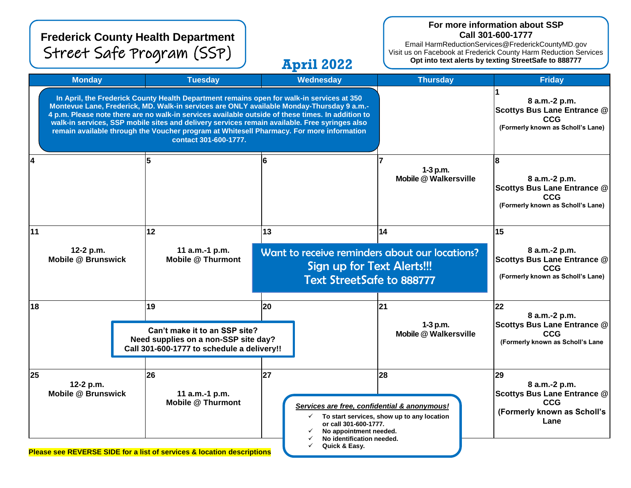|                                        |                                                                                                                                                                                                                                                                                                                                                                                                                                                                                                                   | <b>Frederick County Health Department</b><br>Street Safe Program (SSP)                                                                |                                                                                                                                       | <b>April 2022</b>                                                                                                                                                                                                                   |                                            | For more information about SSP<br>Call 301-600-1777<br>Email HarmReductionServices@FrederickCountyMD.gov<br>Visit us on Facebook at Frederick County Harm Reduction Services<br>Opt into text alerts by texting StreetSafe to 888777 |
|----------------------------------------|-------------------------------------------------------------------------------------------------------------------------------------------------------------------------------------------------------------------------------------------------------------------------------------------------------------------------------------------------------------------------------------------------------------------------------------------------------------------------------------------------------------------|---------------------------------------------------------------------------------------------------------------------------------------|---------------------------------------------------------------------------------------------------------------------------------------|-------------------------------------------------------------------------------------------------------------------------------------------------------------------------------------------------------------------------------------|--------------------------------------------|--------------------------------------------------------------------------------------------------------------------------------------------------------------------------------------------------------------------------------------|
|                                        | <b>Monday</b>                                                                                                                                                                                                                                                                                                                                                                                                                                                                                                     | <b>Tuesday</b>                                                                                                                        |                                                                                                                                       | <b>Wednesday</b>                                                                                                                                                                                                                    | <b>Thursday</b>                            | <b>Friday</b>                                                                                                                                                                                                                        |
|                                        | In April, the Frederick County Health Department remains open for walk-in services at 350<br>Montevue Lane, Frederick, MD. Walk-in services are ONLY available Monday-Thursday 9 a.m.-<br>4 p.m. Please note there are no walk-in services available outside of these times. In addition to<br>walk-in services, SSP mobile sites and delivery services remain available. Free syringes also<br>remain available through the Voucher program at Whitesell Pharmacy. For more information<br>contact 301-600-1777. |                                                                                                                                       |                                                                                                                                       |                                                                                                                                                                                                                                     |                                            | 8 a.m.-2 p.m.<br><b>Scottys Bus Lane Entrance @</b><br><b>CCG</b><br>(Formerly known as Scholl's Lane)                                                                                                                               |
| 14                                     |                                                                                                                                                                                                                                                                                                                                                                                                                                                                                                                   |                                                                                                                                       | 6                                                                                                                                     |                                                                                                                                                                                                                                     | 1-3 p.m.<br><b>Mobile @ Walkersville</b>   | 8 a.m.-2 p.m.<br><b>Scottys Bus Lane Entrance @</b><br><b>CCG</b><br>(Formerly known as Scholl's Lane)                                                                                                                               |
| 11                                     |                                                                                                                                                                                                                                                                                                                                                                                                                                                                                                                   | 12                                                                                                                                    | 13                                                                                                                                    |                                                                                                                                                                                                                                     | 14                                         | 15                                                                                                                                                                                                                                   |
| 12-2 p.m.<br><b>Mobile @ Brunswick</b> |                                                                                                                                                                                                                                                                                                                                                                                                                                                                                                                   | 11 a.m.-1 p.m.                                                                                                                        | Want to receive reminders about our locations?<br><b>Mobile @ Thurmont</b><br>Sign up for Text Alerts!!!<br>Text StreetSafe to 888777 |                                                                                                                                                                                                                                     |                                            | 8 a.m.-2 p.m.<br>Scottys Bus Lane Entrance @<br><b>CCG</b><br>(Formerly known as Scholl's Lane)                                                                                                                                      |
| 18                                     |                                                                                                                                                                                                                                                                                                                                                                                                                                                                                                                   | 19                                                                                                                                    | 20                                                                                                                                    |                                                                                                                                                                                                                                     | 21                                         | 22                                                                                                                                                                                                                                   |
|                                        | Can't make it to an SSP site?<br>Need supplies on a non-SSP site day?<br>Call 301-600-1777 to schedule a delivery!!                                                                                                                                                                                                                                                                                                                                                                                               |                                                                                                                                       |                                                                                                                                       |                                                                                                                                                                                                                                     | $1-3$ p.m.<br><b>Mobile @ Walkersville</b> | 8 a.m.-2 p.m.<br><b>Scottys Bus Lane Entrance @</b><br><b>CCG</b><br>(Formerly known as Scholl's Lane                                                                                                                                |
| 25                                     | 12-2 p.m.<br><b>Mobile @ Brunswick</b>                                                                                                                                                                                                                                                                                                                                                                                                                                                                            | 26<br>11 a.m.-1 p.m.<br><b>Mobile @ Thurmont</b><br><b>Please see REVERSE SIDE for a list of services &amp; location descriptions</b> | 27                                                                                                                                    | <b>28</b><br>29<br>Services are free, confidential & anonymous!<br>To start services, show up to any location<br>$\checkmark$<br>or call 301-600-1777.<br>No appointment needed.<br>No identification needed.<br>Quick & Easy.<br>✓ |                                            | 8 a.m.-2 p.m.<br><b>Scottys Bus Lane Entrance @</b><br><b>CCG</b><br>(Formerly known as Scholl's<br>Lane                                                                                                                             |